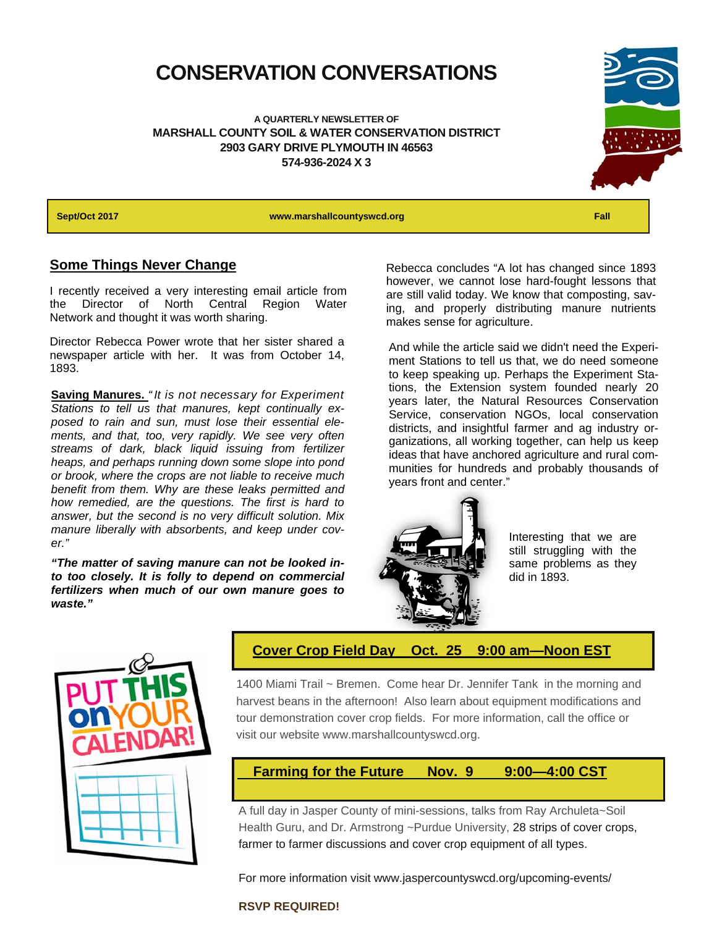### **CONSERVATION CONVERSATIONS**

**A QUARTERLY NEWSLETTER OF MARSHALL COUNTY SOIL & WATER CONSERVATION DISTRICT 2903 GARY DRIVE PLYMOUTH IN 46563 574-936-2024 X 3** 



**Sept/Oct 2017 www.marshallcountyswcd.org Fall** 

#### **Some Things Never Change**

I recently received a very interesting email article from the Director of North Central Region Water Network and thought it was worth sharing.

Director Rebecca Power wrote that her sister shared a newspaper article with her. It was from October 14, 1893.

**Saving Manures.** *" It is not necessary for Experiment Stations to tell us that manures, kept continually exposed to rain and sun, must lose their essential elements, and that, too, very rapidly. We see very often streams of dark, black liquid issuing from fertilizer heaps, and perhaps running down some slope into pond or brook, where the crops are not liable to receive much benefit from them. Why are these leaks permitted and how remedied, are the questions. The first is hard to answer, but the second is no very difficult solution. Mix manure liberally with absorbents, and keep under cover."*

*"The matter of saving manure can not be looked into too closely. It is folly to depend on commercial fertilizers when much of our own manure goes to waste."* 

Rebecca concludes "A lot has changed since 1893 however, we cannot lose hard-fought lessons that are still valid today. We know that composting, saving, and properly distributing manure nutrients makes sense for agriculture.

And while the article said we didn't need the Experiment Stations to tell us that, we do need someone to keep speaking up. Perhaps the Experiment Stations, the Extension system founded nearly 20 years later, the Natural Resources Conservation Service, conservation NGOs, local conservation districts, and insightful farmer and ag industry organizations, all working together, can help us keep ideas that have anchored agriculture and rural communities for hundreds and probably thousands of years front and center."



Interesting that we are still struggling with the same problems as they did in 1893.



#### **Cover Crop Field Day Oct. 25 9:00 am—Noon EST**

1400 Miami Trail ~ Bremen. Come hear Dr. Jennifer Tank in the morning and harvest beans in the afternoon! Also learn about equipment modifications and tour demonstration cover crop fields. For more information, call the office or visit our website www.marshallcountyswcd.org.

#### **Farming for the Future Nov. 9 9:00—4:00 CST**

A full day in Jasper County of mini-sessions, talks from Ray Archuleta~Soil Health Guru, and Dr. Armstrong ~Purdue University, 28 strips of cover crops, farmer to farmer discussions and cover crop equipment of all types.

For more information visit www.jaspercountyswcd.org/upcoming-events/

#### **RSVP REQUIRED!**